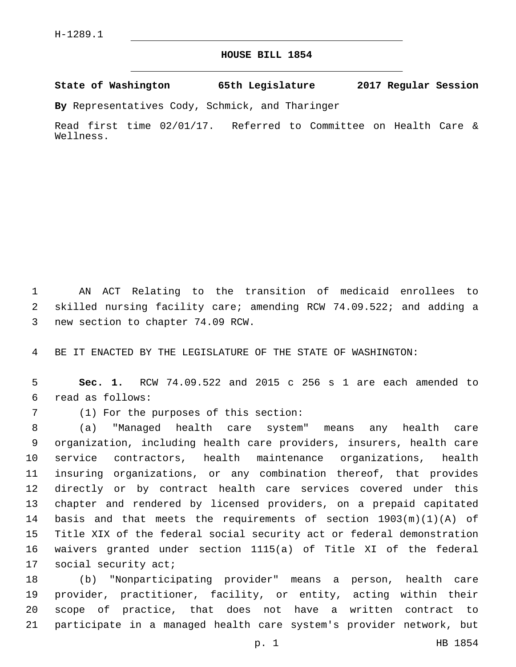## **HOUSE BILL 1854**

**State of Washington 65th Legislature 2017 Regular Session**

**By** Representatives Cody, Schmick, and Tharinger

Read first time 02/01/17. Referred to Committee on Health Care & Wellness.

 AN ACT Relating to the transition of medicaid enrollees to skilled nursing facility care; amending RCW 74.09.522; and adding a 3 new section to chapter 74.09 RCW.

BE IT ENACTED BY THE LEGISLATURE OF THE STATE OF WASHINGTON:

 **Sec. 1.** RCW 74.09.522 and 2015 c 256 s 1 are each amended to read as follows:6

(1) For the purposes of this section:7

 (a) "Managed health care system" means any health care organization, including health care providers, insurers, health care service contractors, health maintenance organizations, health insuring organizations, or any combination thereof, that provides directly or by contract health care services covered under this chapter and rendered by licensed providers, on a prepaid capitated basis and that meets the requirements of section 1903(m)(1)(A) of Title XIX of the federal social security act or federal demonstration waivers granted under section 1115(a) of Title XI of the federal 17 social security act;

 (b) "Nonparticipating provider" means a person, health care provider, practitioner, facility, or entity, acting within their scope of practice, that does not have a written contract to participate in a managed health care system's provider network, but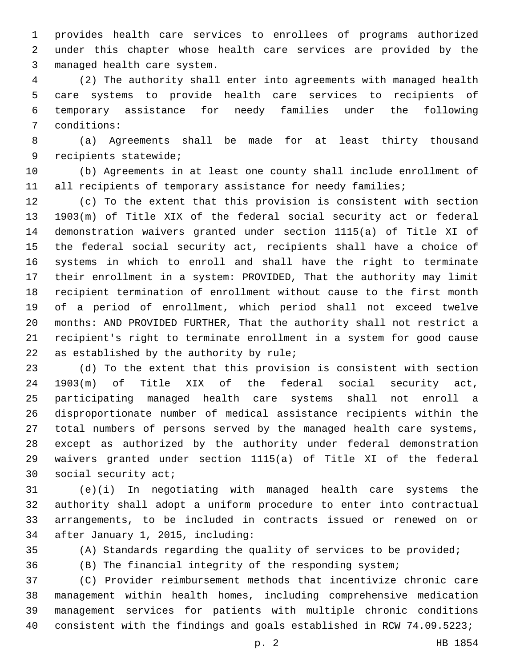provides health care services to enrollees of programs authorized under this chapter whose health care services are provided by the managed health care system.3

 (2) The authority shall enter into agreements with managed health care systems to provide health care services to recipients of temporary assistance for needy families under the following 7 conditions:

 (a) Agreements shall be made for at least thirty thousand 9 recipients statewide;

 (b) Agreements in at least one county shall include enrollment of 11 all recipients of temporary assistance for needy families;

 (c) To the extent that this provision is consistent with section 1903(m) of Title XIX of the federal social security act or federal demonstration waivers granted under section 1115(a) of Title XI of the federal social security act, recipients shall have a choice of systems in which to enroll and shall have the right to terminate their enrollment in a system: PROVIDED, That the authority may limit recipient termination of enrollment without cause to the first month of a period of enrollment, which period shall not exceed twelve months: AND PROVIDED FURTHER, That the authority shall not restrict a recipient's right to terminate enrollment in a system for good cause 22 as established by the authority by rule;

 (d) To the extent that this provision is consistent with section 1903(m) of Title XIX of the federal social security act, participating managed health care systems shall not enroll a disproportionate number of medical assistance recipients within the total numbers of persons served by the managed health care systems, except as authorized by the authority under federal demonstration waivers granted under section 1115(a) of Title XI of the federal 30 social security act;

 (e)(i) In negotiating with managed health care systems the authority shall adopt a uniform procedure to enter into contractual arrangements, to be included in contracts issued or renewed on or 34 after January 1, 2015, including:

(A) Standards regarding the quality of services to be provided;

(B) The financial integrity of the responding system;

 (C) Provider reimbursement methods that incentivize chronic care management within health homes, including comprehensive medication management services for patients with multiple chronic conditions consistent with the findings and goals established in RCW 74.09.5223;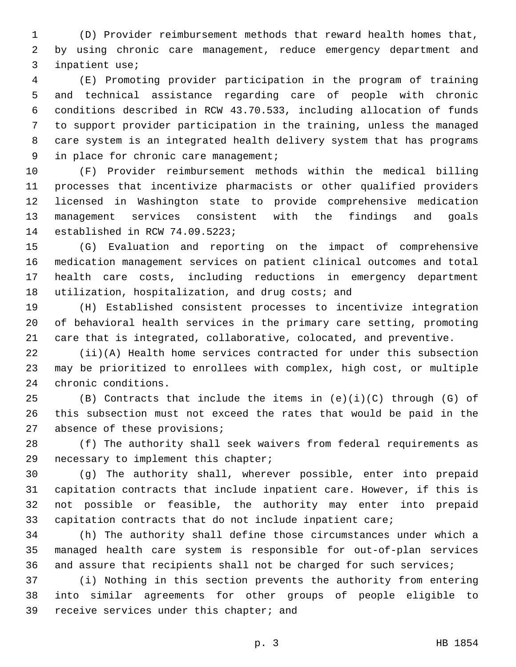(D) Provider reimbursement methods that reward health homes that, by using chronic care management, reduce emergency department and 3 inpatient use;

 (E) Promoting provider participation in the program of training and technical assistance regarding care of people with chronic conditions described in RCW 43.70.533, including allocation of funds to support provider participation in the training, unless the managed care system is an integrated health delivery system that has programs 9 in place for chronic care management;

 (F) Provider reimbursement methods within the medical billing processes that incentivize pharmacists or other qualified providers licensed in Washington state to provide comprehensive medication management services consistent with the findings and goals 14 established in RCW 74.09.5223;

 (G) Evaluation and reporting on the impact of comprehensive medication management services on patient clinical outcomes and total health care costs, including reductions in emergency department 18 utilization, hospitalization, and drug costs; and

 (H) Established consistent processes to incentivize integration of behavioral health services in the primary care setting, promoting care that is integrated, collaborative, colocated, and preventive.

 (ii)(A) Health home services contracted for under this subsection may be prioritized to enrollees with complex, high cost, or multiple 24 chronic conditions.

25  $(B)$  Contracts that include the items in  $(e)(i)(C)$  through  $(G)$  of this subsection must not exceed the rates that would be paid in the 27 absence of these provisions;

 (f) The authority shall seek waivers from federal requirements as necessary to implement this chapter;

 (g) The authority shall, wherever possible, enter into prepaid capitation contracts that include inpatient care. However, if this is not possible or feasible, the authority may enter into prepaid capitation contracts that do not include inpatient care;

 (h) The authority shall define those circumstances under which a managed health care system is responsible for out-of-plan services and assure that recipients shall not be charged for such services;

 (i) Nothing in this section prevents the authority from entering into similar agreements for other groups of people eligible to 39 receive services under this chapter; and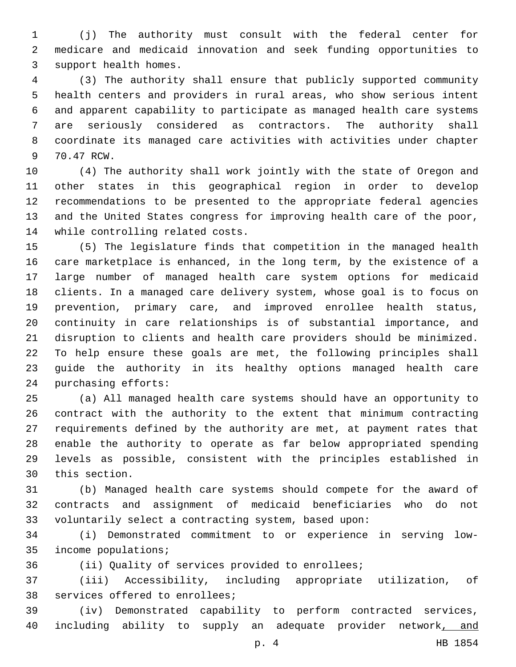(j) The authority must consult with the federal center for medicare and medicaid innovation and seek funding opportunities to 3 support health homes.

 (3) The authority shall ensure that publicly supported community health centers and providers in rural areas, who show serious intent and apparent capability to participate as managed health care systems are seriously considered as contractors. The authority shall coordinate its managed care activities with activities under chapter 9 70.47 RCW.

 (4) The authority shall work jointly with the state of Oregon and other states in this geographical region in order to develop recommendations to be presented to the appropriate federal agencies and the United States congress for improving health care of the poor, 14 while controlling related costs.

 (5) The legislature finds that competition in the managed health care marketplace is enhanced, in the long term, by the existence of a large number of managed health care system options for medicaid clients. In a managed care delivery system, whose goal is to focus on prevention, primary care, and improved enrollee health status, continuity in care relationships is of substantial importance, and disruption to clients and health care providers should be minimized. To help ensure these goals are met, the following principles shall guide the authority in its healthy options managed health care 24 purchasing efforts:

 (a) All managed health care systems should have an opportunity to contract with the authority to the extent that minimum contracting requirements defined by the authority are met, at payment rates that enable the authority to operate as far below appropriated spending levels as possible, consistent with the principles established in 30 this section.

 (b) Managed health care systems should compete for the award of contracts and assignment of medicaid beneficiaries who do not voluntarily select a contracting system, based upon:

 (i) Demonstrated commitment to or experience in serving low-35 income populations;

(ii) Quality of services provided to enrollees;

 (iii) Accessibility, including appropriate utilization, of 38 services offered to enrollees;

 (iv) Demonstrated capability to perform contracted services, 40 including ability to supply an adequate provider network, and

p. 4 HB 1854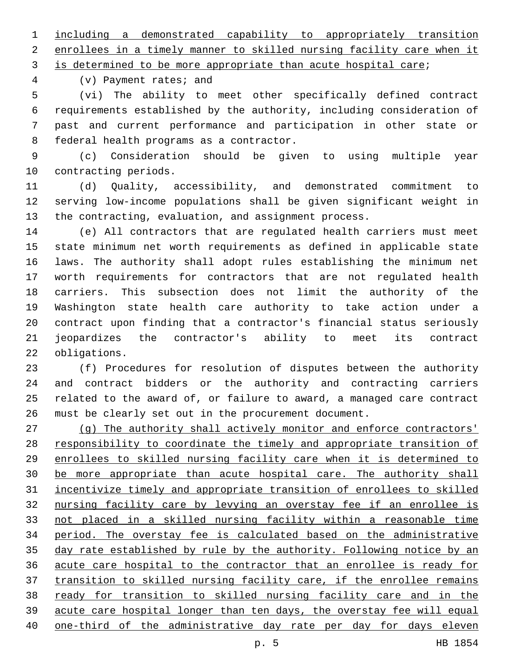including a demonstrated capability to appropriately transition enrollees in a timely manner to skilled nursing facility care when it

3 is determined to be more appropriate than acute hospital care;

4 (v) Payment rates; and

 (vi) The ability to meet other specifically defined contract requirements established by the authority, including consideration of past and current performance and participation in other state or 8 federal health programs as a contractor.

 (c) Consideration should be given to using multiple year 10 contracting periods.

 (d) Quality, accessibility, and demonstrated commitment to serving low-income populations shall be given significant weight in the contracting, evaluation, and assignment process.

 (e) All contractors that are regulated health carriers must meet state minimum net worth requirements as defined in applicable state laws. The authority shall adopt rules establishing the minimum net worth requirements for contractors that are not regulated health carriers. This subsection does not limit the authority of the Washington state health care authority to take action under a contract upon finding that a contractor's financial status seriously jeopardizes the contractor's ability to meet its contract 22 obligations.

 (f) Procedures for resolution of disputes between the authority and contract bidders or the authority and contracting carriers related to the award of, or failure to award, a managed care contract must be clearly set out in the procurement document.

 (g) The authority shall actively monitor and enforce contractors' responsibility to coordinate the timely and appropriate transition of enrollees to skilled nursing facility care when it is determined to be more appropriate than acute hospital care. The authority shall incentivize timely and appropriate transition of enrollees to skilled nursing facility care by levying an overstay fee if an enrollee is not placed in a skilled nursing facility within a reasonable time period. The overstay fee is calculated based on the administrative day rate established by rule by the authority. Following notice by an acute care hospital to the contractor that an enrollee is ready for transition to skilled nursing facility care, if the enrollee remains 38 ready for transition to skilled nursing facility care and in the acute care hospital longer than ten days, the overstay fee will equal one-third of the administrative day rate per day for days eleven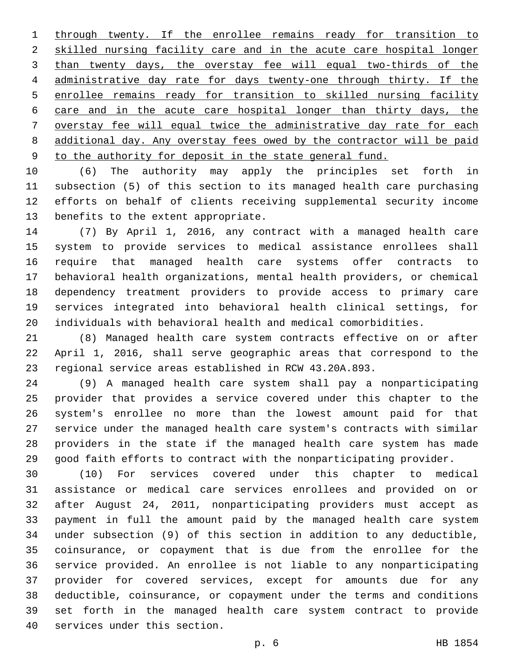through twenty. If the enrollee remains ready for transition to skilled nursing facility care and in the acute care hospital longer than twenty days, the overstay fee will equal two-thirds of the administrative day rate for days twenty-one through thirty. If the enrollee remains ready for transition to skilled nursing facility care and in the acute care hospital longer than thirty days, the overstay fee will equal twice the administrative day rate for each additional day. Any overstay fees owed by the contractor will be paid to the authority for deposit in the state general fund.

 (6) The authority may apply the principles set forth in subsection (5) of this section to its managed health care purchasing efforts on behalf of clients receiving supplemental security income 13 benefits to the extent appropriate.

 (7) By April 1, 2016, any contract with a managed health care system to provide services to medical assistance enrollees shall require that managed health care systems offer contracts to behavioral health organizations, mental health providers, or chemical dependency treatment providers to provide access to primary care services integrated into behavioral health clinical settings, for individuals with behavioral health and medical comorbidities.

 (8) Managed health care system contracts effective on or after April 1, 2016, shall serve geographic areas that correspond to the regional service areas established in RCW 43.20A.893.

 (9) A managed health care system shall pay a nonparticipating provider that provides a service covered under this chapter to the system's enrollee no more than the lowest amount paid for that service under the managed health care system's contracts with similar providers in the state if the managed health care system has made good faith efforts to contract with the nonparticipating provider.

 (10) For services covered under this chapter to medical assistance or medical care services enrollees and provided on or after August 24, 2011, nonparticipating providers must accept as payment in full the amount paid by the managed health care system under subsection (9) of this section in addition to any deductible, coinsurance, or copayment that is due from the enrollee for the service provided. An enrollee is not liable to any nonparticipating provider for covered services, except for amounts due for any deductible, coinsurance, or copayment under the terms and conditions set forth in the managed health care system contract to provide 40 services under this section.